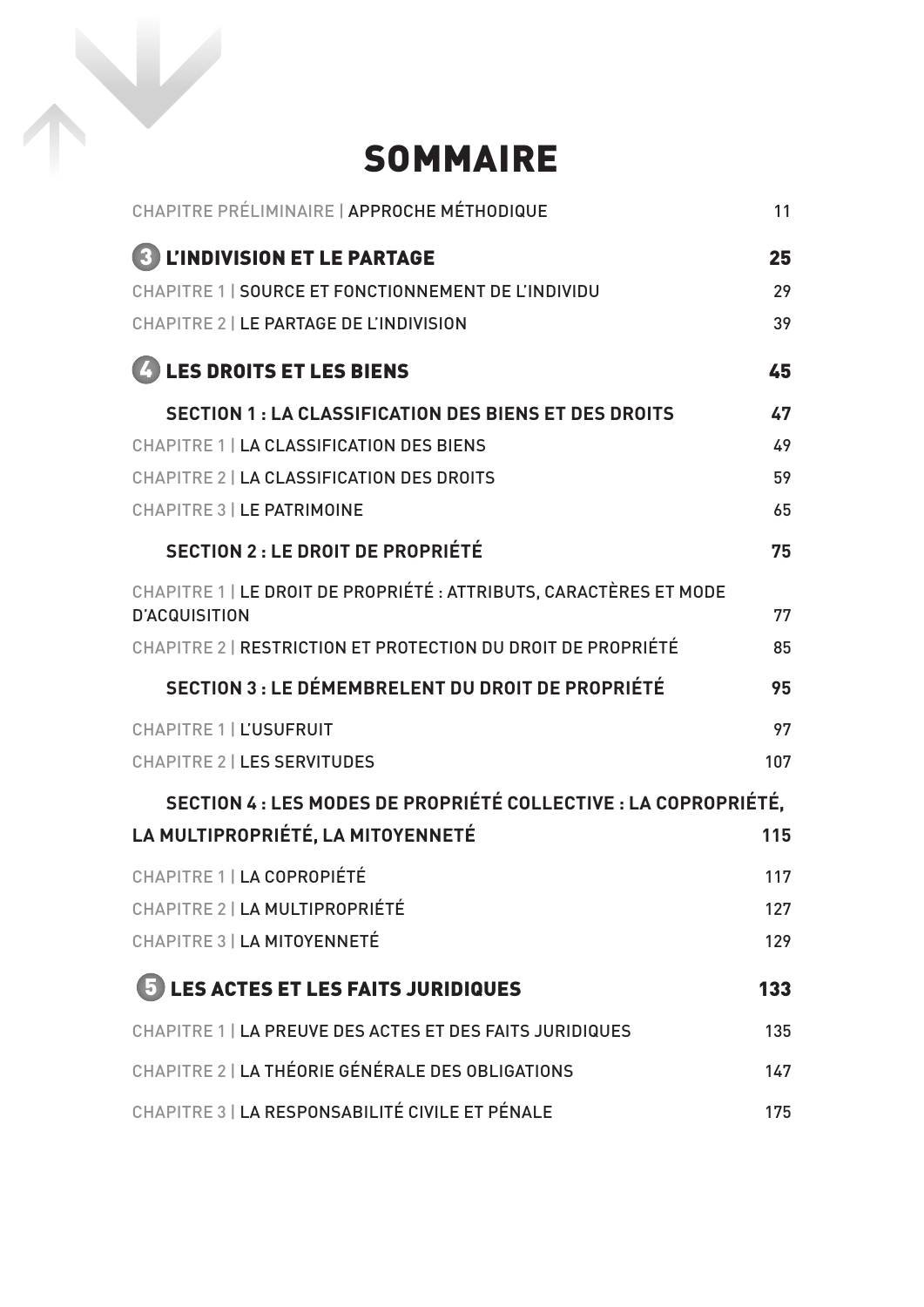## SOMMAIRE

| CHAPITRE PRÉLIMINAIRE   APPROCHE MÉTHODIQUE                                                | 11  |
|--------------------------------------------------------------------------------------------|-----|
| <b>L'INDIVISION ET LE PARTAGE</b>                                                          | 25  |
| CHAPITRE 1   SOURCE ET FONCTIONNEMENT DE L'INDIVIDU                                        | 29  |
| <b>CHAPITRE 2   LE PARTAGE DE L'INDIVISION</b>                                             | 39  |
| 4 LES DROITS ET LES BIENS                                                                  | 45  |
| <b>SECTION 1: LA CLASSIFICATION DES BIENS ET DES DROITS</b>                                | 47  |
| <b>CHAPITRE 1   LA CLASSIFICATION DES BIENS</b>                                            | 49  |
| <b>CHAPITRE 2   LA CLASSIFICATION DES DROITS</b>                                           | 59  |
| <b>CHAPITRE 3   LE PATRIMOINE</b>                                                          | 65  |
| <b>SECTION 2: LE DROIT DE PROPRIÉTÉ</b>                                                    | 75  |
| CHAPITRE 1   LE DROIT DE PROPRIÉTÉ : ATTRIBUTS, CARACTÈRES ET MODE<br><b>D'ACQUISITION</b> | 77  |
| CHAPITRE 2   RESTRICTION ET PROTECTION DU DROIT DE PROPRIÉTÉ                               | 85  |
| <b>SECTION 3 : LE DÉMEMBRELENT DU DROIT DE PROPRIÉTÉ</b>                                   | 95  |
| <b>CHAPITRE 1   L'USUFRUIT</b>                                                             | 97  |
| <b>CHAPITRE 2   LES SERVITUDES</b>                                                         | 107 |
| SECTION 4 : LES MODES DE PROPRIÉTÉ COLLECTIVE : LA COPROPRIÉTÉ,                            |     |
| LA MULTIPROPRIÉTÉ, LA MITOYENNETÉ                                                          | 115 |
| CHAPITRE 1   LA COPROPIÉTÉ                                                                 | 117 |
| CHAPITRE 2   LA MULTIPROPRIÉTÉ                                                             | 127 |
| <b>CHAPITRE 3   LA MITOYENNETÉ</b>                                                         | 129 |
| 5 LES ACTES ET LES FAITS JURIDIQUES                                                        | 133 |
| CHAPITRE 1   LA PREUVE DES ACTES ET DES FAITS JURIDIQUES                                   | 135 |
| CHAPITRE 2   LA THÉORIE GÉNÉRALE DES OBLIGATIONS                                           | 147 |
| CHAPITRE 3   LA RESPONSABILITÉ CIVILE ET PÉNALE                                            | 175 |